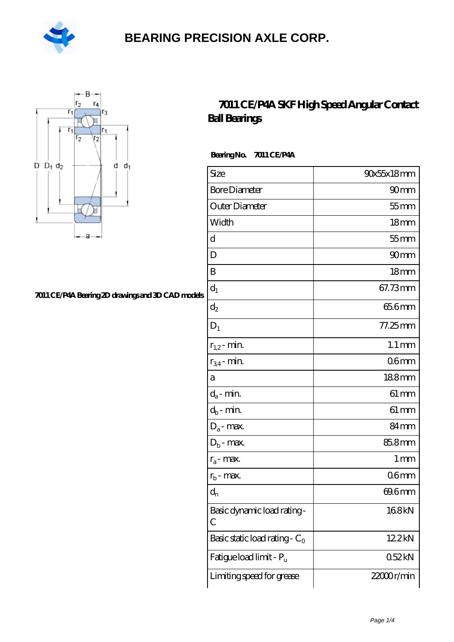



#### **[7011 CE/P4A Bearing 2D drawings and 3D CAD models](https://m.hilalanaokulu.com/pic-660746.html)**

#### **[7011 CE/P4A SKF High Speed Angular Contact](https://m.hilalanaokulu.com/skf-bearings/7011-ce-p4a.html) [Ball Bearings](https://m.hilalanaokulu.com/skf-bearings/7011-ce-p4a.html)**

 **Bearing No. 7011 CE/P4A**

| Size                             | 90x55x18mm          |
|----------------------------------|---------------------|
| <b>Bore Diameter</b>             | 90 <sub>mm</sub>    |
| Outer Diameter                   | $55$ mm             |
| Width                            | 18 <sub>mm</sub>    |
| d                                | $55$ mm             |
| D                                | 90mm                |
| B                                | 18 <sub>mm</sub>    |
| $d_1$                            | 67.73mm             |
| $\mathrm{d}_2$                   | 65.6mm              |
| $D_1$                            | 77.25mm             |
| $r_{1,2}$ - min.                 | $1.1 \,\mathrm{mm}$ |
| $r_{34}$ - min.                  | 06mm                |
| а                                | 188mm               |
| $d_a$ - min.                     | $61 \,\mathrm{mm}$  |
| $d_b$ - min.                     | $61 \, \text{mm}$   |
| $D_a$ - max.                     | 84 <sub>mm</sub>    |
| $D_b$ - max.                     | 85.8mm              |
| $r_a$ - max.                     | 1 <sub>mm</sub>     |
| $r_{b}$ - max.                   | 06mm                |
| $d_{n}$                          | 69.6mm              |
| Basic dynamic load rating-<br>С  | 168kN               |
| Basic static load rating - $C_0$ | 122kN               |
| Fatigue load limit - Pu          | 052kN               |
| Limiting speed for grease        | 22000r/min          |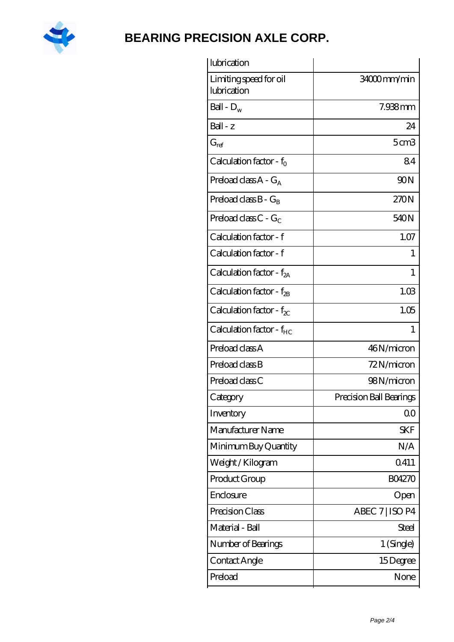

| lubrication                           |                         |
|---------------------------------------|-------------------------|
| Limiting speed for oil<br>lubrication | 34000mm/min             |
| Ball - $D_w$                          | 7.938mm                 |
| Ball - z                              | 24                      |
| $G_{ref}$                             | 5 <sub>cm3</sub>        |
| Calculation factor - $f_0$            | 84                      |
| Preload class $A - G_A$               | 90N                     |
| Preload class $B - G_R$               | 270N                    |
| Preload class $C - G_C$               | 540N                    |
| Calculation factor - f                | 1.07                    |
| Calculation factor - f                | 1                       |
| Calculation factor - $f_{2A}$         | 1                       |
| Calculation factor - $f_{\rm 2B}$     | 1.03                    |
| Calculation factor - $f_{\chi}$       | 1.05                    |
| Calculation factor - $f_{HC}$         | $\mathbf{1}$            |
| Preload class A                       | 46N/micron              |
| Preload class B                       | 72N/micron              |
| Preload class C                       | 98N/micron              |
| Category                              | Precision Ball Bearings |
| Inventory                             | 0 <sup>0</sup>          |
| Manufacturer Name                     | <b>SKF</b>              |
| Minimum Buy Quantity                  | N/A                     |
| Weight / Kilogram                     | Q411                    |
| Product Group                         | <b>BO4270</b>           |
| Enclosure                             | Open                    |
| Precision Class                       | ABEC 7   ISO P4         |
| Material - Ball                       | <b>Steel</b>            |
| Number of Bearings                    | 1 (Single)              |
| Contact Angle                         | 15Degree                |
| Preload                               | None                    |
|                                       |                         |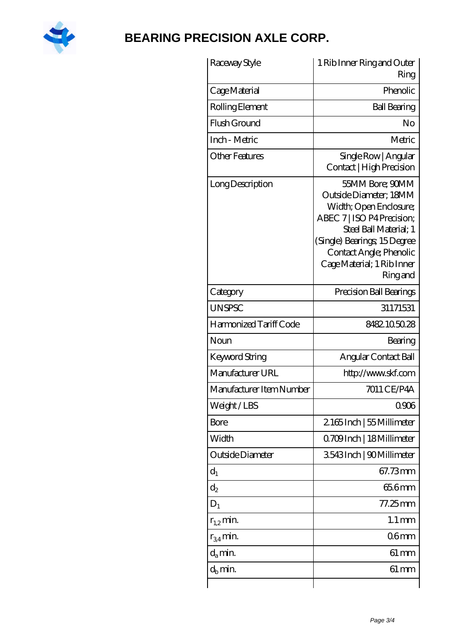

| Raceway Style            | 1 Rib Inner Ring and Outer                                                                                                                                                                                                      |
|--------------------------|---------------------------------------------------------------------------------------------------------------------------------------------------------------------------------------------------------------------------------|
|                          | Ring                                                                                                                                                                                                                            |
| Cage Material            | Phenolic                                                                                                                                                                                                                        |
| Rolling Element          | <b>Ball Bearing</b>                                                                                                                                                                                                             |
| Flush Ground             | No                                                                                                                                                                                                                              |
| Inch - Metric            | Metric                                                                                                                                                                                                                          |
| Other Features           | Single Row   Angular<br>Contact   High Precision                                                                                                                                                                                |
| Long Description         | 55MM Bore; 90MM<br>Outside Diameter; 18MM<br>Width; Open Enclosure;<br>ABEC 7   ISO P4 Precision;<br>Steel Ball Material; 1<br>(Single) Bearings, 15Degree<br>Contact Angle; Phenolic<br>Cage Material; 1 Rib Inner<br>Ring and |
| Category                 | Precision Ball Bearings                                                                                                                                                                                                         |
| <b>UNSPSC</b>            | 31171531                                                                                                                                                                                                                        |
| Harmonized Tariff Code   | 8482105028                                                                                                                                                                                                                      |
| Noun                     | Bearing                                                                                                                                                                                                                         |
| Keyword String           | Angular Contact Ball                                                                                                                                                                                                            |
| Manufacturer URL         | http://www.skf.com                                                                                                                                                                                                              |
| Manufacturer Item Number | 7011 CE/P4A                                                                                                                                                                                                                     |
| Weight/LBS               | 0906                                                                                                                                                                                                                            |
| <b>Bore</b>              | 2165Inch   55 Millimeter                                                                                                                                                                                                        |
| Width                    | Q709Inch   18 Millimeter                                                                                                                                                                                                        |
| Outside Diameter         | 3543Inch   90Millimeter                                                                                                                                                                                                         |
| $d_1$                    | 67.73mm                                                                                                                                                                                                                         |
| $d_2$                    | 65.6mm                                                                                                                                                                                                                          |
| $D_1$                    | $77.25$ mm                                                                                                                                                                                                                      |
| $r_{1,2}$ min.           | $1.1 \, \text{mm}$                                                                                                                                                                                                              |
| $r_{34}$ min.            | 06 <sub>mm</sub>                                                                                                                                                                                                                |
| $d_a$ min.               | $61 \,\mathrm{mm}$                                                                                                                                                                                                              |
| $d_h$ min.               | $61 \,\mathrm{mm}$                                                                                                                                                                                                              |
|                          |                                                                                                                                                                                                                                 |